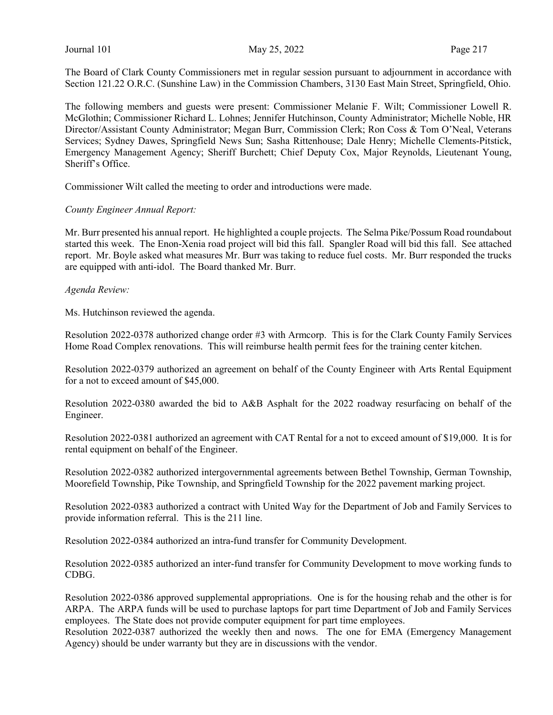The Board of Clark County Commissioners met in regular session pursuant to adjournment in accordance with Section 121.22 O.R.C. (Sunshine Law) in the Commission Chambers, 3130 East Main Street, Springfield, Ohio.

The following members and guests were present: Commissioner Melanie F. Wilt; Commissioner Lowell R. McGlothin; Commissioner Richard L. Lohnes; Jennifer Hutchinson, County Administrator; Michelle Noble, HR Director/Assistant County Administrator; Megan Burr, Commission Clerk; Ron Coss & Tom O'Neal, Veterans Services; Sydney Dawes, Springfield News Sun; Sasha Rittenhouse; Dale Henry; Michelle Clements-Pitstick, Emergency Management Agency; Sheriff Burchett; Chief Deputy Cox, Major Reynolds, Lieutenant Young, Sheriff's Office.

Commissioner Wilt called the meeting to order and introductions were made.

### County Engineer Annual Report:

Mr. Burr presented his annual report. He highlighted a couple projects. The Selma Pike/Possum Road roundabout started this week. The Enon-Xenia road project will bid this fall. Spangler Road will bid this fall. See attached report. Mr. Boyle asked what measures Mr. Burr was taking to reduce fuel costs. Mr. Burr responded the trucks are equipped with anti-idol. The Board thanked Mr. Burr.

#### Agenda Review:

Ms. Hutchinson reviewed the agenda.

Resolution 2022-0378 authorized change order #3 with Armcorp. This is for the Clark County Family Services Home Road Complex renovations. This will reimburse health permit fees for the training center kitchen.

Resolution 2022-0379 authorized an agreement on behalf of the County Engineer with Arts Rental Equipment for a not to exceed amount of \$45,000.

Resolution 2022-0380 awarded the bid to A&B Asphalt for the 2022 roadway resurfacing on behalf of the Engineer.

Resolution 2022-0381 authorized an agreement with CAT Rental for a not to exceed amount of \$19,000. It is for rental equipment on behalf of the Engineer.

Resolution 2022-0382 authorized intergovernmental agreements between Bethel Township, German Township, Moorefield Township, Pike Township, and Springfield Township for the 2022 pavement marking project.

Resolution 2022-0383 authorized a contract with United Way for the Department of Job and Family Services to provide information referral. This is the 211 line.

Resolution 2022-0384 authorized an intra-fund transfer for Community Development.

Resolution 2022-0385 authorized an inter-fund transfer for Community Development to move working funds to CDBG.

Resolution 2022-0386 approved supplemental appropriations. One is for the housing rehab and the other is for ARPA. The ARPA funds will be used to purchase laptops for part time Department of Job and Family Services employees. The State does not provide computer equipment for part time employees.

Resolution 2022-0387 authorized the weekly then and nows. The one for EMA (Emergency Management Agency) should be under warranty but they are in discussions with the vendor.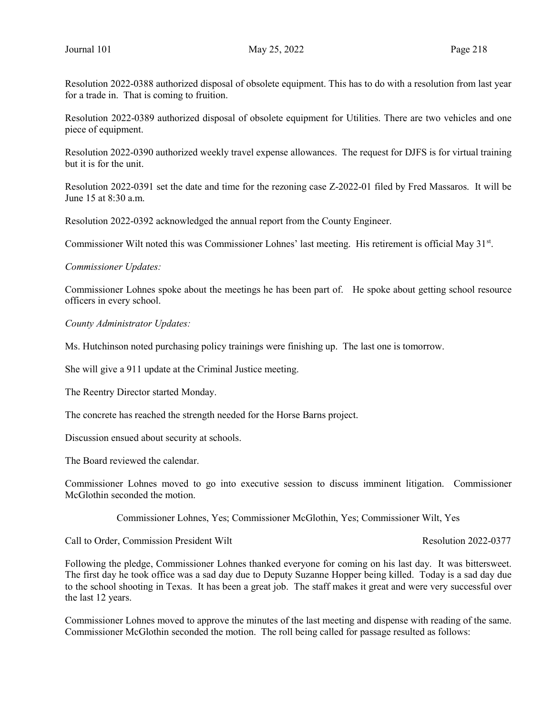Resolution 2022-0388 authorized disposal of obsolete equipment. This has to do with a resolution from last year for a trade in. That is coming to fruition.

Resolution 2022-0389 authorized disposal of obsolete equipment for Utilities. There are two vehicles and one piece of equipment.

Resolution 2022-0390 authorized weekly travel expense allowances. The request for DJFS is for virtual training but it is for the unit.

Resolution 2022-0391 set the date and time for the rezoning case Z-2022-01 filed by Fred Massaros. It will be June 15 at 8:30 a.m.

Resolution 2022-0392 acknowledged the annual report from the County Engineer.

Commissioner Wilt noted this was Commissioner Lohnes' last meeting. His retirement is official May 31<sup>st</sup>.

Commissioner Updates:

Commissioner Lohnes spoke about the meetings he has been part of. He spoke about getting school resource officers in every school.

County Administrator Updates:

Ms. Hutchinson noted purchasing policy trainings were finishing up. The last one is tomorrow.

She will give a 911 update at the Criminal Justice meeting.

The Reentry Director started Monday.

The concrete has reached the strength needed for the Horse Barns project.

Discussion ensued about security at schools.

The Board reviewed the calendar.

Commissioner Lohnes moved to go into executive session to discuss imminent litigation. Commissioner McGlothin seconded the motion.

Commissioner Lohnes, Yes; Commissioner McGlothin, Yes; Commissioner Wilt, Yes

Call to Order, Commission President Wilt **Resolution 2022-0377** 

Following the pledge, Commissioner Lohnes thanked everyone for coming on his last day. It was bittersweet. The first day he took office was a sad day due to Deputy Suzanne Hopper being killed. Today is a sad day due to the school shooting in Texas. It has been a great job. The staff makes it great and were very successful over the last 12 years.

Commissioner Lohnes moved to approve the minutes of the last meeting and dispense with reading of the same. Commissioner McGlothin seconded the motion. The roll being called for passage resulted as follows: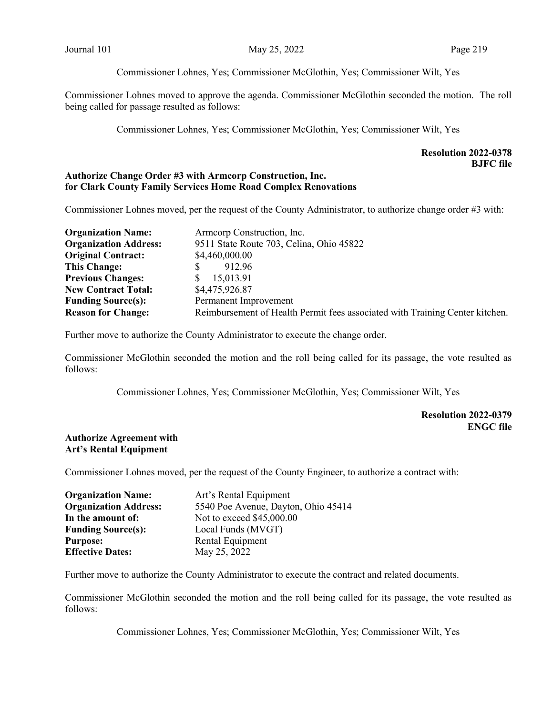Commissioner Lohnes, Yes; Commissioner McGlothin, Yes; Commissioner Wilt, Yes

Commissioner Lohnes moved to approve the agenda. Commissioner McGlothin seconded the motion. The roll being called for passage resulted as follows:

Commissioner Lohnes, Yes; Commissioner McGlothin, Yes; Commissioner Wilt, Yes

# Resolution 2022-0378 BJFC file

# Authorize Change Order #3 with Armcorp Construction, Inc. for Clark County Family Services Home Road Complex Renovations

Commissioner Lohnes moved, per the request of the County Administrator, to authorize change order #3 with:

| <b>Organization Name:</b>    | Armeorp Construction, Inc.                                                   |  |  |  |
|------------------------------|------------------------------------------------------------------------------|--|--|--|
| <b>Organization Address:</b> | 9511 State Route 703, Celina, Ohio 45822                                     |  |  |  |
| <b>Original Contract:</b>    | \$4,460,000.00                                                               |  |  |  |
| <b>This Change:</b>          | 912.96<br>S                                                                  |  |  |  |
| <b>Previous Changes:</b>     | 15,013.91<br>S                                                               |  |  |  |
| <b>New Contract Total:</b>   | \$4,475,926.87                                                               |  |  |  |
| <b>Funding Source(s):</b>    | Permanent Improvement                                                        |  |  |  |
| <b>Reason for Change:</b>    | Reimbursement of Health Permit fees associated with Training Center kitchen. |  |  |  |

Further move to authorize the County Administrator to execute the change order.

Commissioner McGlothin seconded the motion and the roll being called for its passage, the vote resulted as follows:

Commissioner Lohnes, Yes; Commissioner McGlothin, Yes; Commissioner Wilt, Yes

## Resolution 2022-0379 ENGC file

## Authorize Agreement with Art's Rental Equipment

Commissioner Lohnes moved, per the request of the County Engineer, to authorize a contract with:

| <b>Organization Name:</b>    | Art's Rental Equipment              |
|------------------------------|-------------------------------------|
| <b>Organization Address:</b> | 5540 Poe Avenue, Dayton, Ohio 45414 |
| In the amount of:            | Not to exceed \$45,000.00           |
| <b>Funding Source(s):</b>    | Local Funds (MVGT)                  |
| <b>Purpose:</b>              | Rental Equipment                    |
| <b>Effective Dates:</b>      | May 25, 2022                        |

Further move to authorize the County Administrator to execute the contract and related documents.

Commissioner McGlothin seconded the motion and the roll being called for its passage, the vote resulted as follows:

Commissioner Lohnes, Yes; Commissioner McGlothin, Yes; Commissioner Wilt, Yes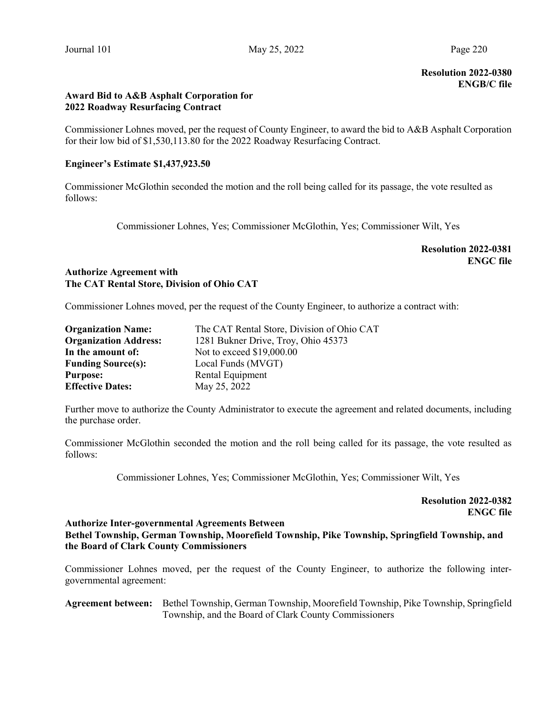Resolution 2022-0380 ENGB/C file

# Award Bid to A&B Asphalt Corporation for 2022 Roadway Resurfacing Contract

Commissioner Lohnes moved, per the request of County Engineer, to award the bid to A&B Asphalt Corporation for their low bid of \$1,530,113.80 for the 2022 Roadway Resurfacing Contract.

# Engineer's Estimate \$1,437,923.50

Commissioner McGlothin seconded the motion and the roll being called for its passage, the vote resulted as follows:

Commissioner Lohnes, Yes; Commissioner McGlothin, Yes; Commissioner Wilt, Yes

Resolution 2022-0381 ENGC file

# Authorize Agreement with The CAT Rental Store, Division of Ohio CAT

Commissioner Lohnes moved, per the request of the County Engineer, to authorize a contract with:

| <b>Organization Name:</b>    | The CAT Rental Store, Division of Ohio CAT |
|------------------------------|--------------------------------------------|
| <b>Organization Address:</b> | 1281 Bukner Drive, Troy, Ohio 45373        |
| In the amount of:            | Not to exceed \$19,000.00                  |
| <b>Funding Source(s):</b>    | Local Funds (MVGT)                         |
| <b>Purpose:</b>              | Rental Equipment                           |
| <b>Effective Dates:</b>      | May 25, 2022                               |

Further move to authorize the County Administrator to execute the agreement and related documents, including the purchase order.

Commissioner McGlothin seconded the motion and the roll being called for its passage, the vote resulted as follows:

Commissioner Lohnes, Yes; Commissioner McGlothin, Yes; Commissioner Wilt, Yes

Resolution 2022-0382 ENGC file

# Authorize Inter-governmental Agreements Between Bethel Township, German Township, Moorefield Township, Pike Township, Springfield Township, and the Board of Clark County Commissioners

Commissioner Lohnes moved, per the request of the County Engineer, to authorize the following intergovernmental agreement:

Agreement between: Bethel Township, German Township, Moorefield Township, Pike Township, Springfield Township, and the Board of Clark County Commissioners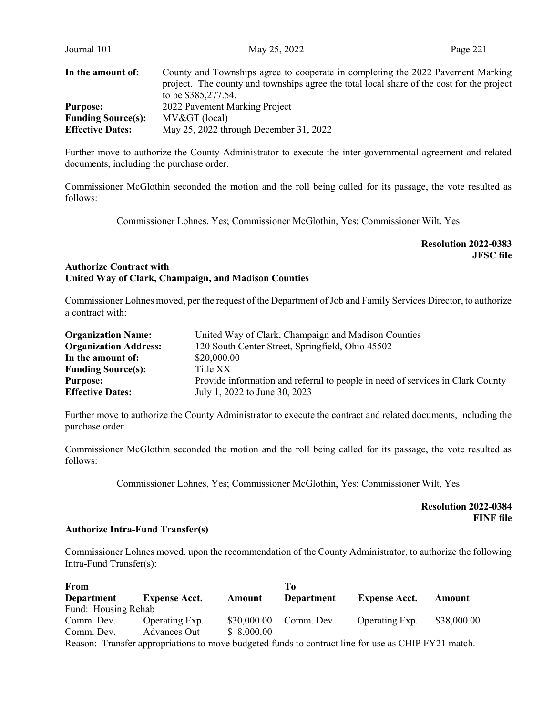| Journal 101               | May 25, 2022                                                                                                                                                                                        | Page 221 |
|---------------------------|-----------------------------------------------------------------------------------------------------------------------------------------------------------------------------------------------------|----------|
| In the amount of:         | County and Townships agree to cooperate in completing the 2022 Pavement Marking<br>project. The county and townships agree the total local share of the cost for the project<br>to be \$385,277.54. |          |
| <b>Purpose:</b>           | 2022 Pavement Marking Project                                                                                                                                                                       |          |
| <b>Funding Source(s):</b> | MV> (local)                                                                                                                                                                                         |          |
| <b>Effective Dates:</b>   | May 25, 2022 through December 31, 2022                                                                                                                                                              |          |

Further move to authorize the County Administrator to execute the inter-governmental agreement and related documents, including the purchase order.

Commissioner McGlothin seconded the motion and the roll being called for its passage, the vote resulted as follows:

Commissioner Lohnes, Yes; Commissioner McGlothin, Yes; Commissioner Wilt, Yes

Resolution 2022-0383 JFSC file

## Authorize Contract with United Way of Clark, Champaign, and Madison Counties

Commissioner Lohnes moved, per the request of the Department of Job and Family Services Director, to authorize a contract with:

| <b>Organization Name:</b>    | United Way of Clark, Champaign and Madison Counties                            |
|------------------------------|--------------------------------------------------------------------------------|
| <b>Organization Address:</b> | 120 South Center Street, Springfield, Ohio 45502                               |
| In the amount of:            | \$20,000.00                                                                    |
| <b>Funding Source(s):</b>    | Title XX                                                                       |
| <b>Purpose:</b>              | Provide information and referral to people in need of services in Clark County |
| <b>Effective Dates:</b>      | July 1, 2022 to June 30, 2023                                                  |

Further move to authorize the County Administrator to execute the contract and related documents, including the purchase order.

Commissioner McGlothin seconded the motion and the roll being called for its passage, the vote resulted as follows:

Commissioner Lohnes, Yes; Commissioner McGlothin, Yes; Commissioner Wilt, Yes

Resolution 2022-0384 FINF file

## Authorize Intra-Fund Transfer(s)

Commissioner Lohnes moved, upon the recommendation of the County Administrator, to authorize the following Intra-Fund Transfer(s):

| From                                                                                                |                      |             | To         |                      |             |
|-----------------------------------------------------------------------------------------------------|----------------------|-------------|------------|----------------------|-------------|
| Department                                                                                          | <b>Expense Acct.</b> | Amount      | Department | <b>Expense Acct.</b> | Amount      |
| Fund: Housing Rehab                                                                                 |                      |             |            |                      |             |
| Comm. Dev.                                                                                          | Operating Exp.       | \$30,000.00 | Comm. Dev. | Operating Exp.       | \$38,000.00 |
| Comm. Dev.                                                                                          | Advances Out         | \$8,000.00  |            |                      |             |
| Reason: Transfer appropriations to move budgeted funds to contract line for use as CHIP FY21 match. |                      |             |            |                      |             |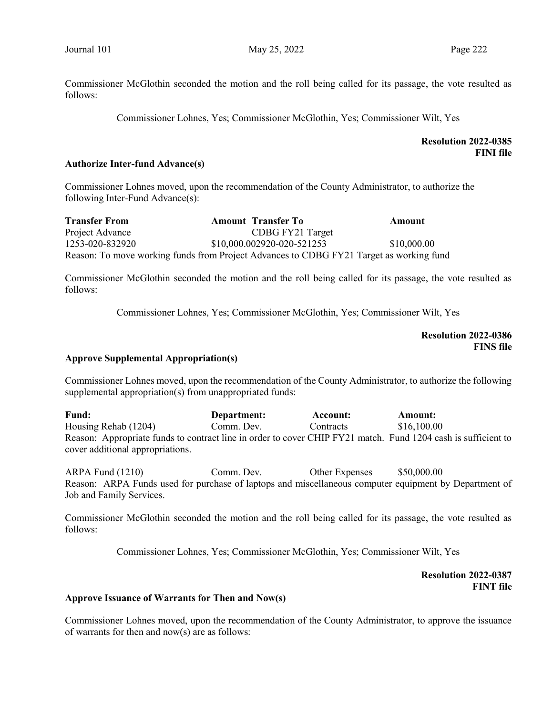Commissioner McGlothin seconded the motion and the roll being called for its passage, the vote resulted as follows:

Commissioner Lohnes, Yes; Commissioner McGlothin, Yes; Commissioner Wilt, Yes

## Resolution 2022-0385 FINI file

### Authorize Inter-fund Advance(s)

Commissioner Lohnes moved, upon the recommendation of the County Administrator, to authorize the following Inter-Fund Advance(s):

| <b>Transfer From</b> | <b>Amount</b> Transfer To                                                               | Amount      |
|----------------------|-----------------------------------------------------------------------------------------|-------------|
| Project Advance      | CDBG FY21 Target                                                                        |             |
| 1253-020-832920      | \$10,000.002920-020-521253                                                              | \$10,000.00 |
|                      | Reason: To move working funds from Project Advances to CDBG FY21 Target as working fund |             |

Commissioner McGlothin seconded the motion and the roll being called for its passage, the vote resulted as follows:

Commissioner Lohnes, Yes; Commissioner McGlothin, Yes; Commissioner Wilt, Yes

Resolution 2022-0386 FINS file

### Approve Supplemental Appropriation(s)

Commissioner Lohnes moved, upon the recommendation of the County Administrator, to authorize the following supplemental appropriation(s) from unappropriated funds:

Fund: Department: Account: Amount: Housing Rehab (1204) Comm. Dev. Contracts \$16,100.00 Reason: Appropriate funds to contract line in order to cover CHIP FY21 match. Fund 1204 cash is sufficient to cover additional appropriations.

ARPA Fund (1210) Comm. Dev. Other Expenses \$50,000.00 Reason: ARPA Funds used for purchase of laptops and miscellaneous computer equipment by Department of Job and Family Services.

Commissioner McGlothin seconded the motion and the roll being called for its passage, the vote resulted as follows:

Commissioner Lohnes, Yes; Commissioner McGlothin, Yes; Commissioner Wilt, Yes

 Resolution 2022-0387 FINT file

#### Approve Issuance of Warrants for Then and Now(s)

Commissioner Lohnes moved, upon the recommendation of the County Administrator, to approve the issuance of warrants for then and now(s) are as follows: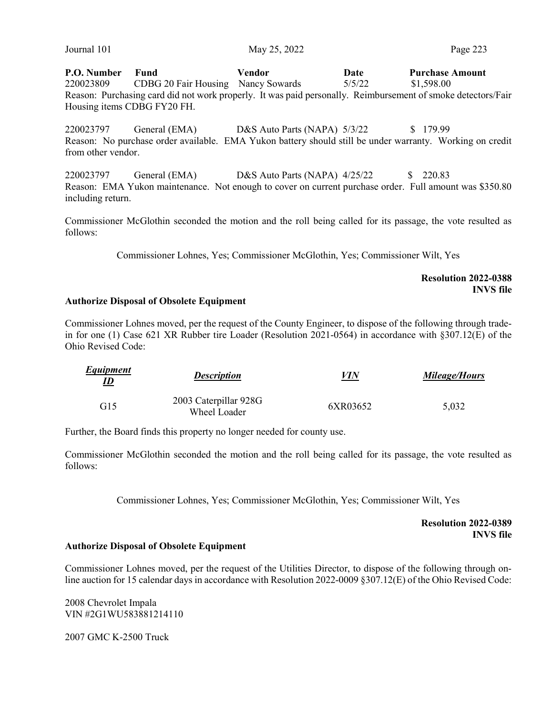P.O. Number Fund Vendor Date Purchase Amount 220023809 CDBG 20 Fair Housing Nancy Sowards 5/5/22 \$1,598.00 Reason: Purchasing card did not work properly. It was paid personally. Reimbursement of smoke detectors/Fair Housing items CDBG FY20 FH.

220023797 General (EMA) D&S Auto Parts (NAPA) 5/3/22 \$ 179.99 Reason: No purchase order available. EMA Yukon battery should still be under warranty. Working on credit from other vendor.

220023797 General (EMA) D&S Auto Parts (NAPA) 4/25/22 \$ 220.83 Reason: EMA Yukon maintenance. Not enough to cover on current purchase order. Full amount was \$350.80 including return.

Commissioner McGlothin seconded the motion and the roll being called for its passage, the vote resulted as follows:

Commissioner Lohnes, Yes; Commissioner McGlothin, Yes; Commissioner Wilt, Yes

Resolution 2022-0388 INVS file

#### Authorize Disposal of Obsolete Equipment

Commissioner Lohnes moved, per the request of the County Engineer, to dispose of the following through tradein for one (1) Case 621 XR Rubber tire Loader (Resolution 2021-0564) in accordance with §307.12(E) of the Ohio Revised Code:

| Equipment<br><u>ID</u> | <b>Description</b>                    | <i>VIN</i> | Mileage/Hours |
|------------------------|---------------------------------------|------------|---------------|
| G15                    | 2003 Caterpillar 928G<br>Wheel Loader | 6XR03652   | 5.032         |

Further, the Board finds this property no longer needed for county use.

Commissioner McGlothin seconded the motion and the roll being called for its passage, the vote resulted as follows:

Commissioner Lohnes, Yes; Commissioner McGlothin, Yes; Commissioner Wilt, Yes

Resolution 2022-0389 INVS file

#### Authorize Disposal of Obsolete Equipment

Commissioner Lohnes moved, per the request of the Utilities Director, to dispose of the following through online auction for 15 calendar days in accordance with Resolution 2022-0009 §307.12(E) of the Ohio Revised Code:

2008 Chevrolet Impala VIN #2G1WU583881214110

2007 GMC K-2500 Truck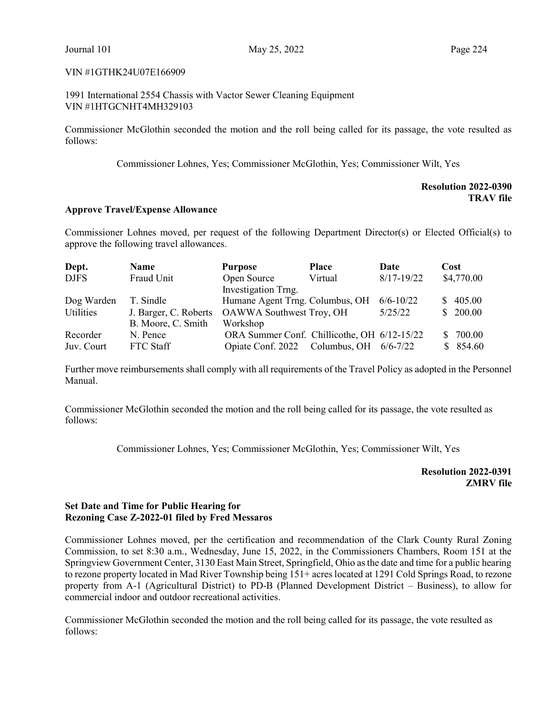### VIN #1GTHK24U07E166909

1991 International 2554 Chassis with Vactor Sewer Cleaning Equipment VIN #1HTGCNHT4MH329103

Commissioner McGlothin seconded the motion and the roll being called for its passage, the vote resulted as follows:

Commissioner Lohnes, Yes; Commissioner McGlothin, Yes; Commissioner Wilt, Yes

Resolution 2022-0390 TRAV file

## Approve Travel/Expense Allowance

Commissioner Lohnes moved, per request of the following Department Director(s) or Elected Official(s) to approve the following travel allowances.

| Dept.       | <b>Name</b>                                    | <b>Purpose</b>                              | <b>Place</b>            | Date           | Cost          |
|-------------|------------------------------------------------|---------------------------------------------|-------------------------|----------------|---------------|
| <b>DJFS</b> | Fraud Unit                                     | Open Source                                 | Virtual                 | $8/17 - 19/22$ | \$4,770.00    |
|             |                                                | Investigation Trng.                         |                         |                |               |
| Dog Warden  | T. Sindle                                      | Humane Agent Trng. Columbus, OH             |                         | $6/6 - 10/22$  | \$405.00      |
| Utilities   | J. Barger, C. Roberts OAWWA Southwest Troy, OH |                                             |                         | 5/25/22        | \$200.00      |
|             | B. Moore, C. Smith                             | Workshop                                    |                         |                |               |
| Recorder    | N. Pence                                       | ORA Summer Conf. Chillicothe, OH 6/12-15/22 |                         |                | 700.00<br>SS. |
| Juv. Court  | FTC Staff                                      | Opiate Conf. 2022                           | Columbus, OH $6/6-7/22$ |                | \$854.60      |

Further move reimbursements shall comply with all requirements of the Travel Policy as adopted in the Personnel Manual.

Commissioner McGlothin seconded the motion and the roll being called for its passage, the vote resulted as follows:

Commissioner Lohnes, Yes; Commissioner McGlothin, Yes; Commissioner Wilt, Yes

Resolution 2022-0391 ZMRV file

# Set Date and Time for Public Hearing for Rezoning Case Z-2022-01 filed by Fred Messaros

Commissioner Lohnes moved, per the certification and recommendation of the Clark County Rural Zoning Commission, to set 8:30 a.m., Wednesday, June 15, 2022, in the Commissioners Chambers, Room 151 at the Springview Government Center, 3130 East Main Street, Springfield, Ohio as the date and time for a public hearing to rezone property located in Mad River Township being 151+ acres located at 1291 Cold Springs Road, to rezone property from A-1 (Agricultural District) to PD-B (Planned Development District – Business), to allow for commercial indoor and outdoor recreational activities.

Commissioner McGlothin seconded the motion and the roll being called for its passage, the vote resulted as follows: